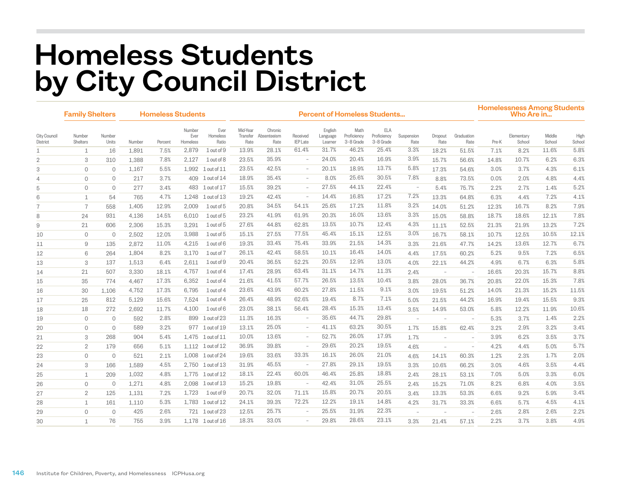## Homeless Students by City Council District

|                                 | <b>Family Shelters</b> |                 | <b>Homeless Students</b> |         |                            |                           | <b>Percent of Homeless Students</b> |                                |                          |                                |                                  |                                        |                                 |                 |                          |       | <b>Homelessness Among Students</b><br>Who Are in |                  |                |  |  |
|---------------------------------|------------------------|-----------------|--------------------------|---------|----------------------------|---------------------------|-------------------------------------|--------------------------------|--------------------------|--------------------------------|----------------------------------|----------------------------------------|---------------------------------|-----------------|--------------------------|-------|--------------------------------------------------|------------------|----------------|--|--|
| <b>City Council</b><br>District | Number<br>Shelters     | Number<br>Units | Number                   | Percent | Number<br>Ever<br>Homeless | Ever<br>Homeless<br>Ratio | Mid-Year<br>Transfer<br>Rate        | Chronic<br>Absenteeism<br>Rate | Received<br>IEP Late     | English<br>Language<br>Learner | Math<br>Proficiency<br>3-8 Grade | <b>ELA</b><br>Proficiency<br>3-8 Grade | Suspension<br>Rate              | Dropout<br>Rate | Graduation<br>Rate       | Pre-K | Elementary<br>School                             | Middle<br>School | High<br>School |  |  |
| 1                               | $\mathbf{1}$           | 16              | 1,891                    | 7.5%    | 2,879                      | $1$ out of $9$            | 13.9%                               | 28.1%                          | 61.4%                    | 31.7%                          | 46.2%                            | 25.4%                                  | 3.3%                            | 18.2%           | 51.5%                    | 7.1%  | 8.2%                                             | 11.6%            | 5.8%           |  |  |
| $\overline{2}$                  | 3                      | 310             | 1,388                    | 7.8%    | 2,127                      | 1 out of 8                | 23.5%                               | 35.9%                          | $\overline{\phantom{a}}$ | 24.0%                          | 20.4%                            | 16.9%                                  | 3.9%                            | 15.7%           | 56.6%                    | 14.8% | 10.7%                                            | 6.2%             | 6.3%           |  |  |
| 3                               | $\circ$                | $\mathbf{0}$    | 1,167                    | 5.5%    | 1,992                      | $1$ out of $11$           | 23.5%                               | 42.5%                          | $\overline{\phantom{a}}$ | 20.1%                          | 18.9%                            | 13.7%                                  | 5.8%                            | 17.3%           | 54.6%                    | 3.0%  | 3.7%                                             | 4.3%             | 6.1%           |  |  |
| 4                               | $\circ$                | $\circ$         | 217                      | 3.7%    | 409                        | 1 out of 14               | 18.9%                               | 35.4%                          | $\sim$                   | 8.0%                           | 25.6%                            | 30.5%                                  | 7.8%                            | 8.8%            | 73.5%                    | 0.0%  | 2.0%                                             | 4.8%             | 4.4%           |  |  |
| 5                               | $\mathbf 0$            | $\circ$         | 277                      | 3.4%    | 483                        | $1$ out of $17$           | 15.5%                               | 39.2%                          | $\overline{\phantom{a}}$ | 27.5%                          | 44.1%                            | 22.4%                                  | $\hspace{0.1mm}-\hspace{0.1mm}$ | 5.4%            | 75.7%                    | 2.2%  | 2.7%                                             | 1.4%             | 5.2%           |  |  |
| 6                               | $\mathbf{1}$           | 54              | 765                      | 4.7%    | 1,248                      | $1$ out of $13$           | 19.2%                               | 42.4%                          | $\sim$                   | 14.4%                          | 16.8%                            | 17.2%                                  | 7.2%                            | 13.3%           | 64.8%                    | 6.3%  | 4.4%                                             | 7.2%             | 4.1%           |  |  |
| $\overline{7}$                  | $\overline{7}$         | 558             | 1,405                    | 12.9%   | 2,009                      | 1 out of 5                | 20.8%                               | 34.5%                          | 54.1%                    | 25.6%                          | 17.2%                            | 11.8%                                  | 3.2%                            | 14.0%           | 51.2%                    | 12.3% | 16.7%                                            | 8.2%             | 7.9%           |  |  |
| 8                               | 24                     | 931             | 4,136                    | 14.5%   | 6.010                      | 1 out of 5                | 23.2%                               | 41.9%                          | 61.9%                    | 20.3%                          | 16.0%                            | 13.6%                                  | 3.3%                            | 15.0%           | 58.8%                    | 18.7% | 18.6%                                            | 12.1%            | 7.8%           |  |  |
| 9                               | 21                     | 606             | 2,306                    | 15.3%   | 3,291                      | 1 out of 5                | 27.6%                               | 44.8%                          | 62.8%                    | 13.5%                          | 10.7%                            | 12.4%                                  | 4.3%                            | 11.1%           | 52.5%                    | 21.3% | 21.9%                                            | 13.2%            | 7.2%           |  |  |
| 10                              | $\circ$                | $\overline{0}$  | 2,502                    | 12.0%   | 3,988                      | 1 out of 5                | 15.1%                               | 27.5%                          | 77.5%                    | 45.4%                          | 15.1%                            | 12.5%                                  | 3.0%                            | 16.7%           | 58.1%                    | 10.7% | 12.5%                                            | 10.5%            | 12.1%          |  |  |
| 11                              | 9                      | 135             | 2,872                    | 11.0%   | 4,215                      | 1 out of 6                | 19.3%                               | 33.4%                          | 75.4%                    | 33.9%                          | 21.5%                            | 14.3%                                  | 3.3%                            | 21.6%           | 47.7%                    | 14.2% | 13.6%                                            | 12.7%            | 6.7%           |  |  |
| 12                              | 6                      | 264             | 1,804                    | 8.2%    | 3.170                      | 1 out of 7                | 26.1%                               | 42.4%                          | 58.5%                    | 10.1%                          | 16.4%                            | 14.0%                                  | 4.4%                            | 17.5%           | 60.2%                    | 5.2%  | 9.5%                                             | 7.2%             | 6.5%           |  |  |
| 13                              | 3                      | 137             | 1,513                    | 6.4%    | 2.611                      | 1 out of 9                | 20.4%                               | 36.5%                          | 52.2%                    | 20.5%                          | 12.9%                            | 13.0%                                  | 4.0%                            | 22.1%           | 44.2%                    | 4.9%  | 6.7%                                             | 6.3%             | 5.8%           |  |  |
| 14                              | 21                     | 507             | 3,330                    | 18.1%   | 4,757                      | 1 out of 4                | 17.4%                               | 28.9%                          | 63.4%                    | 31.1%                          | 14.7%                            | 11.3%                                  | 2.4%                            | $\sim$          | $\overline{\phantom{a}}$ | 16.6% | 20.3%                                            | 15.7%            | 8.8%           |  |  |
| 15                              | 35                     | 774             | 4,467                    | 17.3%   | 6,352                      | 1 out of 4                | 21.6%                               | 41.5%                          | 57.7%                    | 26.5%                          | 13.5%                            | 10.4%                                  | 3.8%                            | 28.0%           | 36.7%                    | 20.8% | 22.0%                                            | 15.3%            | 7.8%           |  |  |
| 16                              | 30                     | 1,106           | 4,752                    | 17.3%   | 6,795                      | 1 out of 4                | 23.6%                               | 43.9%                          | 60.2%                    | 27.8%                          | 11.5%                            | 9.1%                                   | 3.0%                            | 19.5%           | 51.2%                    | 14.0% | 21.3%                                            | 15.2%            | 11.5%          |  |  |
| 17                              | 25                     | 812             | 5,129                    | 15.6%   | 7,524                      | 1 out of 4                | 26.4%                               | 48.9%                          | 62.6%                    | 19.4%                          | 8.7%                             | 7.1%                                   | 5.0%                            | 21.5%           | 44.2%                    | 16.9% | 19.4%                                            | 15.5%            | 9.3%           |  |  |
| 18                              | 18                     | 272             | 2,692                    | 11.7%   | 4,100                      | 1 out of 6                | 23.0%                               | 38.1%                          | 56.4%                    | 28.4%                          | 15.3%                            | 13.4%                                  | 3.5%                            | 14.9%           | 53.0%                    | 5.8%  | 12.2%                                            | 11.9%            | 10.6%          |  |  |
| 19                              | $\circ$                | $\mathbf{0}$    | 592                      | 2.8%    | 899                        | 1 out of 23               | 11.3%                               | 16.3%                          | $\equiv$                 | 35.6%                          | 44.7%                            | 29.8%                                  |                                 |                 | $\sim$                   | 5.3%  | 3.7%                                             | 1.4%             | 2.2%           |  |  |
| 20                              | $\circ$                | $\circ$         | 589                      | 3.2%    | 977                        | $1$ out of $19$           | 13.1%                               | 25.0%                          | $\overline{\phantom{a}}$ | 41.1%                          | 63.2%                            | 30.5%                                  | 1.7%                            | 15.8%           | 62.4%                    | 3.2%  | 2.9%                                             | 3.2%             | 3.4%           |  |  |
| 21                              | 3                      | 268             | 904                      | 5.4%    |                            | 1,475 1 out of 11         | 10.0%                               | 13.6%                          | $\overline{\phantom{a}}$ | 52.7%                          | 26.0%                            | 17.9%                                  | 1.7%                            |                 | $\overline{\phantom{a}}$ | 3.9%  | 6.2%                                             | 3.5%             | 3.7%           |  |  |
| 22                              | $\overline{2}$         | 179             | 656                      | 5.1%    |                            | 1,112 1 out of 12         | 36.9%                               | 39.8%                          | $\sim$                   | 29.6%                          | 20.2%                            | 19.5%                                  | 4.6%                            |                 | $\sim$                   | 4.2%  | 4.4%                                             | 5.0%             | 5.7%           |  |  |
| 23                              | $\circ$                | $\overline{0}$  | 521                      | 2.1%    | 1,008                      | 1 out of 24               | 19.6%                               | 33.6%                          | 33.3%                    | 16.1%                          | 26.0%                            | 21.0%                                  | 4.6%                            | 14.1%           | 60.3%                    | 1.2%  | 2.3%                                             | 1.7%             | 2.0%           |  |  |
| 24                              | 3                      | 166             | 1,589                    | 4.5%    |                            | 2,750 1 out of 13         | 31.9%                               | 45.5%                          | $\sim$                   | 27.8%                          | 29.1%                            | 19.5%                                  | 3.3%                            | 10.6%           | 66.2%                    | 3.0%  | 4.6%                                             | 3.5%             | 4.4%           |  |  |
| 25                              | 1                      | 209             | 1,032                    | 4.8%    |                            | 1.775 1 out of 12         | 18.1%                               | 22.4%                          | 60.0%                    | 46.4%                          | 25.8%                            | 18.8%                                  | 2.4%                            | 28.1%           | 53.1%                    | 7.0%  | 5.0%                                             | 3.3%             | 6.0%           |  |  |
| 26                              | $\circ$                | $\overline{0}$  | 1,271                    | 4.8%    | 2,098                      | $1$ out of $13$           | 15.2%                               | 19.8%                          | $\overline{\phantom{a}}$ | 42.4%                          | 31.0%                            | 25.5%                                  | 2.4%                            | 15.2%           | 71.0%                    | 8.2%  | 6.8%                                             | 4.0%             | 3.5%           |  |  |
| 27                              | $\overline{2}$         | 125             | 1,131                    | 7.2%    | 1.723                      | $1$ out of $9$            | 20.7%                               | 32.0%                          | 71.1%                    | 15.8%                          | 20.7%                            | 20.5%                                  | 3.4%                            | 13.3%           | 53.3%                    | 6.6%  | 9.2%                                             | 5.9%             | 3.4%           |  |  |
| 28                              | 1                      | 161             | 1,110                    | 5.3%    | 1.783                      | $1$ out of $12$           | 24.1%                               | 39.3%                          | 72.2%                    | 12.2%                          | 19.1%                            | 14.8%                                  | 4.2%                            | 31.7%           | 33.3%                    | 6.6%  | 5.7%                                             | 4.5%             | 4.1%           |  |  |
| 29                              | $\circ$                | $\circ$         | 425                      | 2.6%    | 721                        | 1 out of 23               | 12.5%                               | 25.7%                          | $\sim$                   | 25.5%                          | 31.9%                            | 22.3%                                  |                                 |                 | $\sim$                   | 2.6%  | 2.8%                                             | 2.6%             | 2.2%           |  |  |
| 30                              | $\mathbf{1}$           | 76              | 755                      | 3.9%    |                            | 1.178 1 out of 16         | 18.3%                               | 33.0%                          |                          | 29.8%                          | 28.6%                            | 23.1%                                  | 3.3%                            | 21.4%           | 57.1%                    | 2.2%  | 3.7%                                             | 3.8%             | 4.9%           |  |  |
|                                 |                        |                 |                          |         |                            |                           |                                     |                                |                          |                                |                                  |                                        |                                 |                 |                          |       |                                                  |                  |                |  |  |